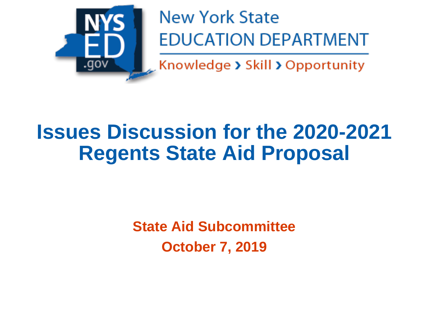

**New York State EDUCATION DEPARTMENT** 

Knowledge > Skill > Opportunity

# **Issues Discussion for the 2020-2021 Regents State Aid Proposal**

**State Aid Subcommittee October 7, 2019**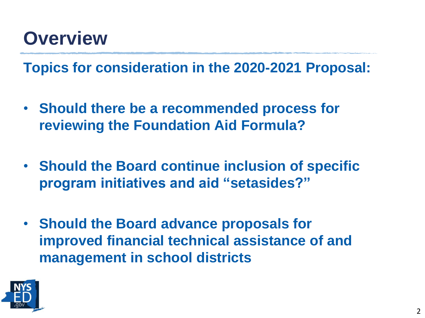#### **Overview**

**Topics for consideration in the 2020-2021 Proposal:**

- **Should there be a recommended process for reviewing the Foundation Aid Formula?**
- **Should the Board continue inclusion of specific program initiatives and aid "setasides?"**
- **Should the Board advance proposals for improved financial technical assistance of and management in school districts**

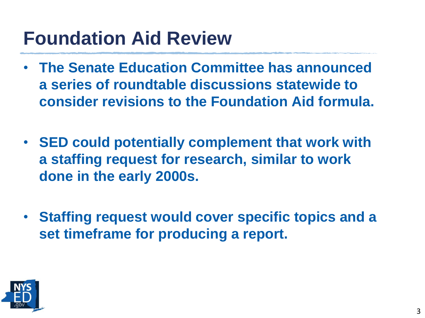### **Foundation Aid Review**

- **The Senate Education Committee has announced a series of roundtable discussions statewide to consider revisions to the Foundation Aid formula.**
- **SED could potentially complement that work with a staffing request for research, similar to work done in the early 2000s.**
- **Staffing request would cover specific topics and a set timeframe for producing a report.**

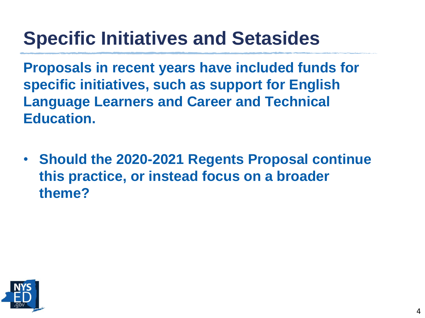## **Specific Initiatives and Setasides**

**Proposals in recent years have included funds for specific initiatives, such as support for English Language Learners and Career and Technical Education.**

• **Should the 2020-2021 Regents Proposal continue this practice, or instead focus on a broader theme?**